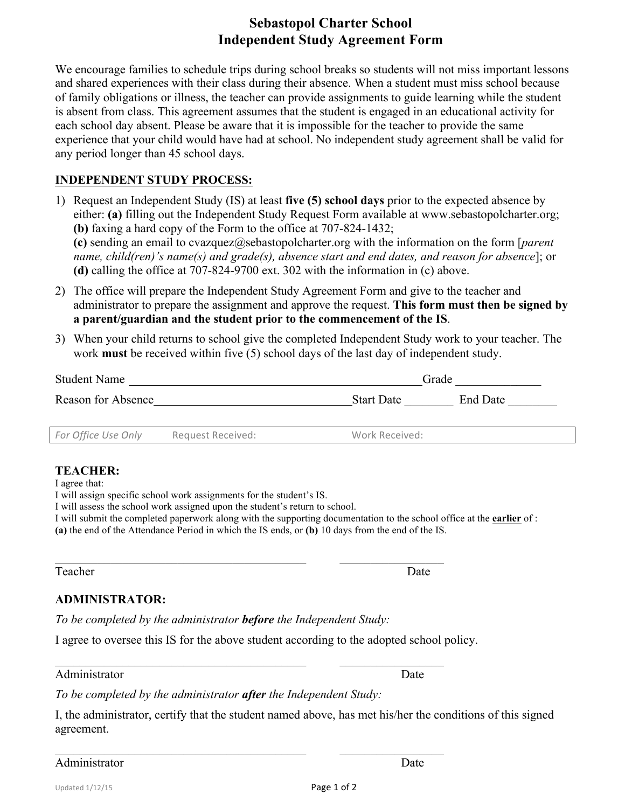# **Sebastopol Charter School Independent Study Agreement Form**

We encourage families to schedule trips during school breaks so students will not miss important lessons and shared experiences with their class during their absence. When a student must miss school because of family obligations or illness, the teacher can provide assignments to guide learning while the student is absent from class. This agreement assumes that the student is engaged in an educational activity for each school day absent. Please be aware that it is impossible for the teacher to provide the same experience that your child would have had at school. No independent study agreement shall be valid for any period longer than 45 school days.

## **INDEPENDENT STUDY PROCESS:**

- 1) Request an Independent Study (IS) at least **five (5) school days** prior to the expected absence by either: **(a)** filling out the Independent Study Request Form available at www.sebastopolcharter.org; **(b)** faxing a hard copy of the Form to the office at 707-824-1432; **(c)** sending an email to cvazquez@sebastopolcharter.org with the information on the form [*parent name, child(ren)'s name(s) and grade(s), absence start and end dates, and reason for absence*]; or **(d)** calling the office at 707-824-9700 ext. 302 with the information in (c) above.
- 2) The office will prepare the Independent Study Agreement Form and give to the teacher and administrator to prepare the assignment and approve the request. **This form must then be signed by a parent/guardian and the student prior to the commencement of the IS**.
- 3) When your child returns to school give the completed Independent Study work to your teacher. The work **must** be received within five (5) school days of the last day of independent study.

| <b>Student Name</b><br>Reason for Absence |                   | Grade             |          |
|-------------------------------------------|-------------------|-------------------|----------|
|                                           |                   | <b>Start Date</b> | End Date |
| For Office Use Only                       | Request Received: | Work Received:    |          |

### **TEACHER:**

I agree that:

I will assign specific school work assignments for the student's IS.

I will assess the school work assigned upon the student's return to school.

I will submit the completed paperwork along with the supporting documentation to the school office at the **earlier** of : **(a)** the end of the Attendance Period in which the IS ends, or **(b)** 10 days from the end of the IS.

#### Teacher Date

### **ADMINISTRATOR:**

*To be completed by the administrator before the Independent Study:*

I agree to oversee this IS for the above student according to the adopted school policy.

 $\mathcal{L}_\text{max}$  , and the contribution of the contribution of the contribution of the contribution of the contribution of the contribution of the contribution of the contribution of the contribution of the contribution of t

 $\mathcal{L}_\text{max}$  , and the contribution of the contribution of the contribution of the contribution of the contribution of the contribution of the contribution of the contribution of the contribution of the contribution of t

#### Administrator Date **Date**

*To be completed by the administrator after the Independent Study:*

I, the administrator, certify that the student named above, has met his/her the conditions of this signed agreement.

 $\mathcal{L}_\text{max}$  , and the contribution of the contribution of the contribution of the contribution of the contribution of the contribution of the contribution of the contribution of the contribution of the contribution of t